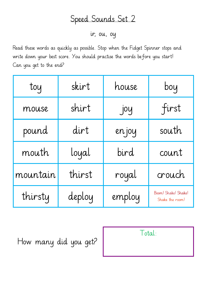ir, ou, oy

Read these words as quickly as possible. Stop when the Fidget Spinner stops and write down your best score. You should practise the words before you start! Can you get to the end?

| toy      | skirt  | house  | boy                                    |
|----------|--------|--------|----------------------------------------|
| mouse    | shirt  | joy    | first                                  |
| pound    | dirt   | en joy | south                                  |
| mouth    | loyal  | bird   | count                                  |
| mountain | thirst | royal  | crouch                                 |
| thirsty  | deploy | employ | Boom! Shake! Shake!<br>Shake the room! |

How many did you get?

| Total: |  |
|--------|--|
|        |  |
|        |  |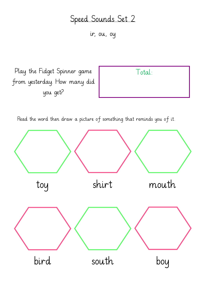ir, ou, oy

Play the Fidget Spinner game from yesterday. How many did you get?

Total:

Read the word then draw a picture of something that reminds you of it.

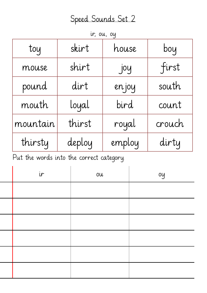ir, ou, oy

| toy      | skirt  | house  | boy    |
|----------|--------|--------|--------|
| mouse    | shirt  | joy    | first  |
| pound    | dirt   | en joy | south  |
| mouth    | loyal  | bird   | count  |
| mountain | thirst | royal  | crouch |
| thirsty  | deploy | employ | dirty  |

Put the words into the correct category.

| ir | OU | oy |
|----|----|----|
|    |    |    |
|    |    |    |
|    |    |    |
|    |    |    |
|    |    |    |
|    |    |    |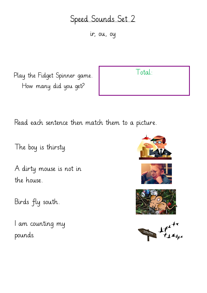ir, ou, oy

Play the Fidget Spinner game. How many did you get?

Total:

Read each sentence then match them to a picture.

The boy is thirsty.

A dirty mouse is not in the house.

Birds fly south.

I am counting my pounds.





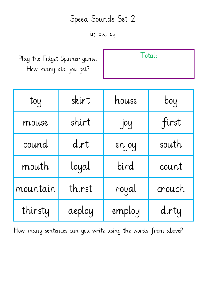ir, ou, oy

Play the Fidget Spinner game. How many did you get?

| Total: |  |
|--------|--|
|        |  |

| toy      | skirt  | house  | boy    |
|----------|--------|--------|--------|
| mouse    | shirt  | joy    | first  |
| pound    | dirt   | en joy | south  |
| mouth    | loyal  | bird   | count  |
| mountain | thirst | royal  | crouch |
| thirsty  | deploy | employ | dirty  |

How many sentences can you write using the words from above?